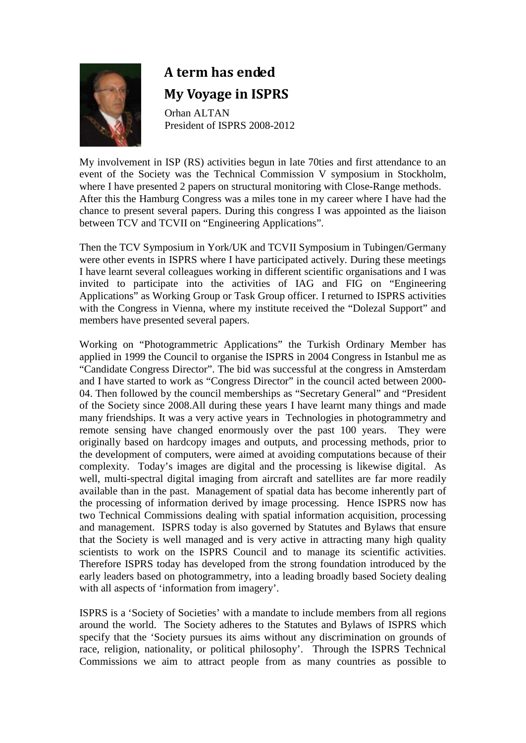

## **A term has ended My Voyage in ISPRS**

 Orhan ALTAN President of ISPRS 2008-2012

My involvement in ISP (RS) activities begun in late 70ties and first attendance to an event of the Society was the Technical Commission V symposium in Stockholm, where I have presented 2 papers on structural monitoring with Close-Range methods. After this the Hamburg Congress was a miles tone in my career where I have had the chance to present several papers. During this congress I was appointed as the liaison between TCV and TCVII on "Engineering Applications".

Then the TCV Symposium in York/UK and TCVII Symposium in Tubingen/Germany were other events in ISPRS where I have participated actively. During these meetings I have learnt several colleagues working in different scientific organisations and I was invited to participate into the activities of IAG and FIG on "Engineering Applications" as Working Group or Task Group officer. I returned to ISPRS activities with the Congress in Vienna, where my institute received the "Dolezal Support" and members have presented several papers.

Working on "Photogrammetric Applications" the Turkish Ordinary Member has applied in 1999 the Council to organise the ISPRS in 2004 Congress in Istanbul me as "Candidate Congress Director". The bid was successful at the congress in Amsterdam and I have started to work as "Congress Director" in the council acted between 2000- 04. Then followed by the council memberships as "Secretary General" and "President of the Society since 2008.All during these years I have learnt many things and made many friendships. It was a very active years in Technologies in photogrammetry and remote sensing have changed enormously over the past 100 years. They were originally based on hardcopy images and outputs, and processing methods, prior to the development of computers, were aimed at avoiding computations because of their complexity. Today's images are digital and the processing is likewise digital. As well, multi-spectral digital imaging from aircraft and satellites are far more readily available than in the past. Management of spatial data has become inherently part of the processing of information derived by image processing. Hence ISPRS now has two Technical Commissions dealing with spatial information acquisition, processing and management. ISPRS today is also governed by Statutes and Bylaws that ensure that the Society is well managed and is very active in attracting many high quality scientists to work on the ISPRS Council and to manage its scientific activities. Therefore ISPRS today has developed from the strong foundation introduced by the early leaders based on photogrammetry, into a leading broadly based Society dealing with all aspects of 'information from imagery'.

ISPRS is a 'Society of Societies' with a mandate to include members from all regions around the world. The Society adheres to the Statutes and Bylaws of ISPRS which specify that the 'Society pursues its aims without any discrimination on grounds of race, religion, nationality, or political philosophy'. Through the ISPRS Technical Commissions we aim to attract people from as many countries as possible to